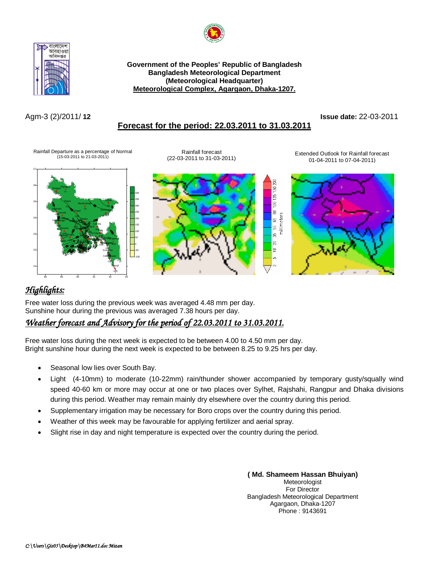



**Government of the Peoples' Republic of Bangladesh Bangladesh Meteorological Department (Meteorological Headquarter) Meteorological Complex, Agargaon, Dhaka-1207.**

### Agm-3 (2)/2011/ **12 Issue date:** 22-03-2011 **Forecast for the period: 22.03.2011 to 31.03.2011**

Rainfall Departure as a percentage of Normal (15-03-2011 to 21-03-2011)

Rainfall forecast (22-03-2011 to 31-03-2011)

Extended Outlook for Rainfall forecast 01-04-2011 to 07-04-2011)



# *Highlights:*

Free water loss during the previous week was averaged 4.48 mm per day. Sunshine hour during the previous was averaged 7.38 hours per day.

## *Weather forecast and Advisory for the period of 22.03.2011 to 31.03.2011.*

Free water loss during the next week is expected to be between 4.00 to 4.50 mm per day. Bright sunshine hour during the next week is expected to be between 8.25 to 9.25 hrs per day.

- Seasonal low lies over South Bay.
- Light (4-10mm) to moderate (10-22mm) rain/thunder shower accompanied by temporary gusty/squally wind speed 40-60 km or more may occur at one or two places over Sylhet, Rajshahi, Rangpur and Dhaka divisions during this period. Weather may remain mainly dry elsewhere over the country during this period.
- Supplementary irrigation may be necessary for Boro crops over the country during this period.
- Weather of this week may be favourable for applying fertilizer and aerial spray.
- Slight rise in day and night temperature is expected over the country during the period.

### **( Md. Shameem Hassan Bhuiyan)** Meteorologist For Director

Bangladesh Meteorological Department Agargaon, Dhaka-1207 Phone : 9143691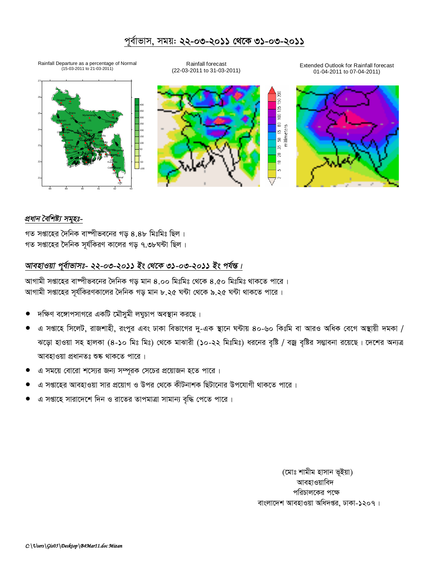## পূৰ্বাভাস, সময়: **২২-০৩-২০১১ থেকে ৩১-০৩-২০১১**



### *প্ৰধান বৈশিষ্ট্য সমূহঃ-*

গত সপ্তাহের দৈনিক বাষ্পীভবনের গড় ৪.৪৮ মিঃমিঃ ছিল । গত সপ্তাহের দৈনিক সূর্যকিরণ কালের গড় ৭.৩৮ঘন্টা ছিল।

## *আবহাওয়া পূৰ্বাভাসঃ- ২২-০৩-২০১১ ইং থেকে ৩১-০৩-২০১১ ইং পৰ্যন্ত।*

আগামী সপ্তাহের বাষ্পীভবনের দৈনিক গড় মান ৪.০০ মিঃমিঃ থেকে ৪.৫০ মিঃমিঃ থাকতে পারে। আগামী সপ্তাহের সূর্যকিরণকালের দৈনিক গড় মান ৮.২৫ ঘন্টা থেকে ৯.২৫ ঘন্টা থাকতে পারে ।

- দক্ষিণ বঙ্গোপসাগরে একটি মৌসুমী লঘুচাপ অবস্থান করছে।
- এ সপ্তাহে সিলেট, রাজশাহী, রংপুর এবং ঢাকা বিভাগের দু-এক স্থানে ঘন্টায় ৪০-৬০ কিঃমি বা আরও অধিক বেগে অস্থায়ী দমকা / ঝড়ো হাওয়া সহ হালকা (৪-১০ মিঃ মিঃ) থেকে মাঝারী (১০-২২ মিঃমিঃ) ধরনের বৃষ্টি / বজ্র বৃষ্টির সম্ভাবনা রয়েছে। দেশের অন্যত্র আবহাওয়া প্ৰধানতঃ শুষ্ক থাকতে পাৱে।
- এ সময়ে বোরো শস্যের জন্য সম্পূরক সেচের প্রয়োজন হতে পারে।
- এ সপ্তাহের আবহাওয়া সার প্রয়োগ ও উপর থেকে কীটনাশক ছিটানোর উপযোগী থাকতে পারে ।
- এ সপ্তাহে সারাদেশে দিন ও রাতের তাপমাত্রা সামান্য বৃদ্ধি পেতে পারে।

(মোঃ শামীম হাসান ভূইয়া) আবহাওয়াবিদ পরিচালকের পক্ষে বাংলাদেশ আবহাওয়া অধিদপ্তর, ঢাকা-১২০৭।